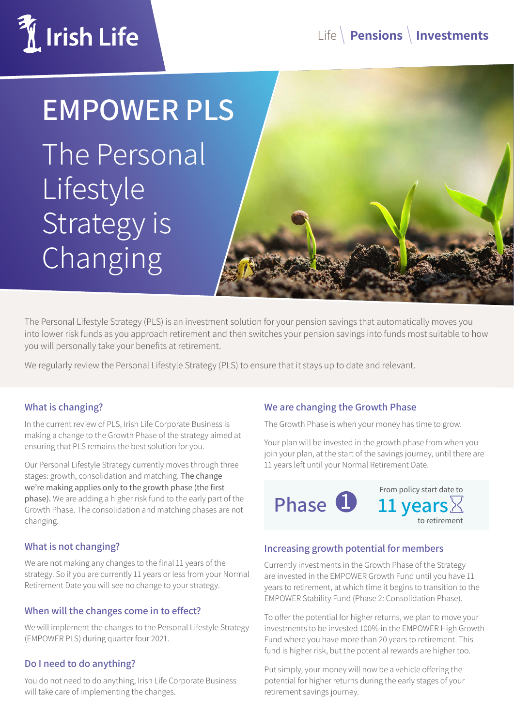

# **EMPOWER PLS**

The Personal Lifestyle Strategy is Changing



The Personal Lifestyle Strategy (PLS) is an investment solution for your pension savings that automatically moves you into lower risk funds as you approach retirement and then switches your pension savings into funds most suitable to how you will personally take your benefits at retirement.

We regularly review the Personal Lifestyle Strategy (PLS) to ensure that it stays up to date and relevant.

#### **What is changing?**

In the current review of PLS, Irish Life Corporate Business is making a change to the Growth Phase of the strategy aimed at ensuring that PLS remains the best solution for you.

Our Personal Lifestyle Strategy currently moves through three stages: growth, consolidation and matching. The change we're making applies only to the growth phase (the first phase). We are adding a higher risk fund to the early part of the Growth Phase. The consolidation and matching phases are not changing.

#### **What is not changing?**

We are not making any changes to the final 11 years of the strategy. So if you are currently 11 years or less from your Normal Retirement Date you will see no change to your strategy.

#### **When will the changes come in to effect?**

We will implement the changes to the Personal Lifestyle Strategy (EMPOWER PLS) during quarter four 2021.

#### **Do I need to do anything?**

You do not need to do anything, Irish Life Corporate Business will take care of implementing the changes.

#### **We are changing the Growth Phase**

The Growth Phase is when your money has time to grow.

Your plan will be invested in the growth phase from when you join your plan, at the start of the savings journey, until there are 11 years left until your Normal Retirement Date.



#### **Increasing growth potential for members**

Currently investments in the Growth Phase of the Strategy are invested in the EMPOWER Growth Fund until you have 11 years to retirement, at which time it begins to transition to the EMPOWER Stability Fund (Phase 2: Consolidation Phase).

To offer the potential for higher returns, we plan to move your investments to be invested 100% in the EMPOWER High Growth Fund where you have more than 20 years to retirement. This fund is higher risk, but the potential rewards are higher too.

Put simply, your money will now be a vehicle offering the potential for higher returns during the early stages of your retirement savings journey.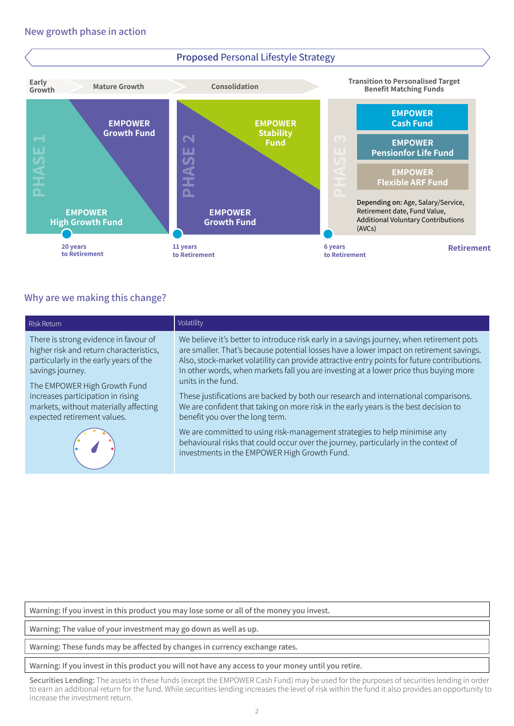

#### **Why are we making this change?**

|                                                                                                                                                                                                                                                                                                                                   | Fund<br>ш<br>$\overline{\mathbf{S}}$<br><b>AHA</b>                                                                                                                                                                                                                                                                                                                                                                                                                                                                                                                                                                                                                                                                                                                                                                                       | ш<br>$\Rightarrow$       | <b>EMPOWER</b><br><b>Pensionfor Life Fund</b><br><b>EMPOWER</b><br><b>Flexible ARF Fund</b>                               |  |  |  |
|-----------------------------------------------------------------------------------------------------------------------------------------------------------------------------------------------------------------------------------------------------------------------------------------------------------------------------------|------------------------------------------------------------------------------------------------------------------------------------------------------------------------------------------------------------------------------------------------------------------------------------------------------------------------------------------------------------------------------------------------------------------------------------------------------------------------------------------------------------------------------------------------------------------------------------------------------------------------------------------------------------------------------------------------------------------------------------------------------------------------------------------------------------------------------------------|--------------------------|---------------------------------------------------------------------------------------------------------------------------|--|--|--|
| <b>EMPOWER</b><br><b>High Growth Fund</b>                                                                                                                                                                                                                                                                                         | <b>EMPOWER</b><br><b>Growth Fund</b>                                                                                                                                                                                                                                                                                                                                                                                                                                                                                                                                                                                                                                                                                                                                                                                                     | $\cap$ 1                 | Depending on: Age, Salary/Service,<br>Retirement date, Fund Value,<br><b>Additional Voluntary Contributions</b><br>(AVCs) |  |  |  |
| 20 years<br>to Retirement                                                                                                                                                                                                                                                                                                         | 11 years<br>to Retirement                                                                                                                                                                                                                                                                                                                                                                                                                                                                                                                                                                                                                                                                                                                                                                                                                | 6 years<br>to Retirement | Retiremen                                                                                                                 |  |  |  |
| Why are we making this change?                                                                                                                                                                                                                                                                                                    |                                                                                                                                                                                                                                                                                                                                                                                                                                                                                                                                                                                                                                                                                                                                                                                                                                          |                          |                                                                                                                           |  |  |  |
| <b>Risk Return</b>                                                                                                                                                                                                                                                                                                                | Volatility                                                                                                                                                                                                                                                                                                                                                                                                                                                                                                                                                                                                                                                                                                                                                                                                                               |                          |                                                                                                                           |  |  |  |
| There is strong evidence in favour of<br>higher risk and return characteristics,<br>particularly in the early years of the<br>savings journey.<br>The EMPOWER High Growth Fund<br>increases participation in rising<br>markets, without materially affecting<br>expected retirement values.                                       | We believe it's better to introduce risk early in a savings journey, when retirement pots<br>are smaller. That's because potential losses have a lower impact on retirement savings.<br>Also, stock-market volatility can provide attractive entry points for future contributions.<br>In other words, when markets fall you are investing at a lower price thus buying more<br>units in the fund.<br>These justifications are backed by both our research and international comparisons.<br>We are confident that taking on more risk in the early years is the best decision to<br>benefit you over the long term.<br>We are committed to using risk-management strategies to help minimise any<br>behavioural risks that could occur over the journey, particularly in the context of<br>investments in the EMPOWER High Growth Fund. |                          |                                                                                                                           |  |  |  |
|                                                                                                                                                                                                                                                                                                                                   |                                                                                                                                                                                                                                                                                                                                                                                                                                                                                                                                                                                                                                                                                                                                                                                                                                          |                          |                                                                                                                           |  |  |  |
| Warning: If you invest in this product you may lose some or all of the money you invest.                                                                                                                                                                                                                                          |                                                                                                                                                                                                                                                                                                                                                                                                                                                                                                                                                                                                                                                                                                                                                                                                                                          |                          |                                                                                                                           |  |  |  |
| Warning: The value of your investment may go down as well as up.                                                                                                                                                                                                                                                                  |                                                                                                                                                                                                                                                                                                                                                                                                                                                                                                                                                                                                                                                                                                                                                                                                                                          |                          |                                                                                                                           |  |  |  |
| Warning: These funds may be affected by changes in currency exchange rates.                                                                                                                                                                                                                                                       |                                                                                                                                                                                                                                                                                                                                                                                                                                                                                                                                                                                                                                                                                                                                                                                                                                          |                          |                                                                                                                           |  |  |  |
| Warning: If you invest in this product you will not have any access to your money until you retire.                                                                                                                                                                                                                               |                                                                                                                                                                                                                                                                                                                                                                                                                                                                                                                                                                                                                                                                                                                                                                                                                                          |                          |                                                                                                                           |  |  |  |
| Securities Lending: The assets in these funds (except the EMPOWER Cash Fund) may be used for the purposes of securities lending in order<br>to earn an additional return for the fund. While securities lending increases the level of risk within the fund it also provides an opportunity to<br>increase the investment return. |                                                                                                                                                                                                                                                                                                                                                                                                                                                                                                                                                                                                                                                                                                                                                                                                                                          |                          |                                                                                                                           |  |  |  |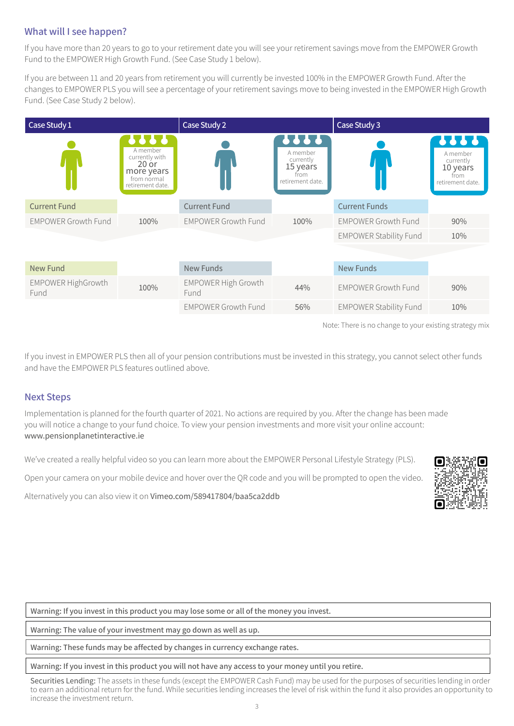### **What will I see happen?**

If you have more than 20 years to go to your retirement date you will see your retirement savings move from the EMPOWER Growth Fund to the EMPOWER High Growth Fund. (See Case Study 1 below).

If you are between 11 and 20 years from retirement you will currently be invested 100% in the EMPOWER Growth Fund. After the changes to EMPOWER PLS you will see a percentage of your retirement savings move to being invested in the EMPOWER High Growth Fund. (See Case Study 2 below).

| Case Study 1                      |                                                                                              | Case Study 2                       |                                                                               | Case Study 3                  |                                                                              |
|-----------------------------------|----------------------------------------------------------------------------------------------|------------------------------------|-------------------------------------------------------------------------------|-------------------------------|------------------------------------------------------------------------------|
|                                   | 88<br>A member<br>currently with<br>$20$ or<br>more years<br>from normal<br>retirement date. |                                    | $\sqrt{100}$<br>A member<br>currently<br>15 years<br>from<br>retirement date. |                               | <b>PPPP</b><br>A member<br>currently<br>10 years<br>from<br>retirement date. |
| <b>Current Fund</b>               |                                                                                              | <b>Current Fund</b>                |                                                                               | <b>Current Funds</b>          |                                                                              |
| <b>EMPOWER Growth Fund</b>        | 100%                                                                                         | <b>EMPOWER Growth Fund</b>         | 100%                                                                          | <b>EMPOWER Growth Fund</b>    | 90%                                                                          |
|                                   |                                                                                              |                                    |                                                                               | <b>EMPOWER Stability Fund</b> | 10%                                                                          |
|                                   |                                                                                              |                                    |                                                                               |                               |                                                                              |
| <b>New Fund</b>                   |                                                                                              | New Funds                          |                                                                               | <b>New Funds</b>              |                                                                              |
| <b>EMPOWER HighGrowth</b><br>Fund | 100%                                                                                         | <b>EMPOWER High Growth</b><br>Fund | 44%                                                                           | <b>EMPOWER Growth Fund</b>    | 90%                                                                          |
|                                   |                                                                                              | <b>EMPOWER Growth Fund</b>         | 56%                                                                           | <b>EMPOWER Stability Fund</b> | 10%                                                                          |
|                                   |                                                                                              |                                    |                                                                               |                               |                                                                              |

Note: There is no change to your existing strategy mix

If you invest in EMPOWER PLS then all of your pension contributions must be invested in this strategy, you cannot select other funds and have the EMPOWER PLS features outlined above.

#### **Next Steps**

Implementation is planned for the fourth quarter of 2021. No actions are required by you. After the change has been made you will notice a change to your fund choice. To view your pension investments and more visit your online account: www.pensionplanetinteractive.ie

We've created a really helpful video so you can learn more about the EMPOWER Personal Lifestyle Strategy (PLS).

Open your camera on your mobile device and hover over the QR code and you will be prompted to open the video.

Alternatively you can also view it on [Vimeo.com/589417804/baa5ca2ddb](https://Vimeo.com/589417804/baa5ca2ddb)

**Warning: If you invest in this product you may lose some or all of the money you invest.**

**Warning: The value of your investment may go down as well as up.**

**Warning: These funds may be affected by changes in currency exchange rates.**

#### **Warning: If you invest in this product you will not have any access to your money until you retire.**

Securities Lending: The assets in these funds (except the EMPOWER Cash Fund) may be used for the purposes of securities lending in order to earn an additional return for the fund. While securities lending increases the level of risk within the fund it also provides an opportunity to increase the investment return.